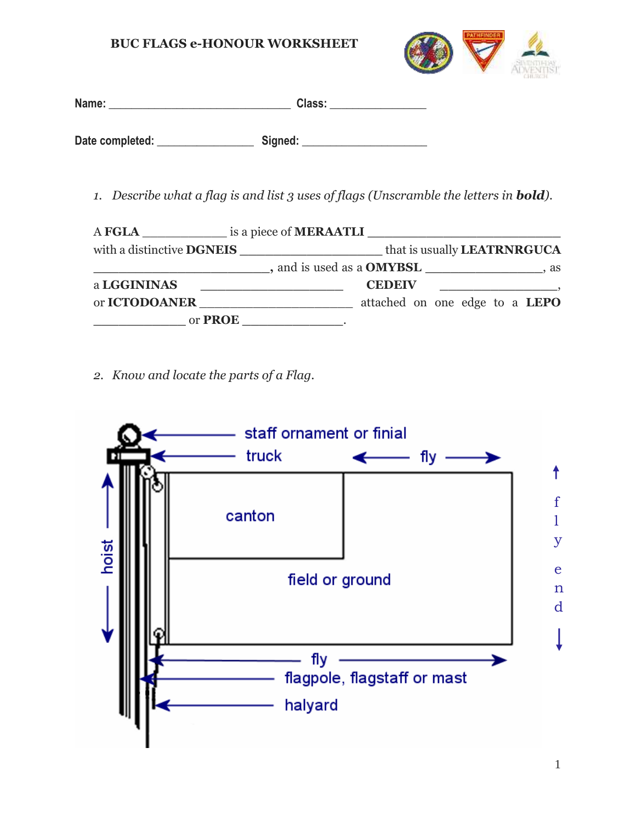

| Name:           | Class:  |  |
|-----------------|---------|--|
|                 |         |  |
| Date completed: | Signed: |  |

*1. Describe what a flag is and list 3 uses of flags (Unscramble the letters in bold).*

| A FGLA is a piece of <b>MERAATLI</b> |                                                                                      |  |  |  |
|--------------------------------------|--------------------------------------------------------------------------------------|--|--|--|
| with a distinctive <b>DGNEIS</b>     | that is usually <b>LEATRNRGUCA</b><br><u> 1980 - Jan Barbara Barbara, manazarta </u> |  |  |  |
| and is used as a <b>OMYBSL</b> , as  |                                                                                      |  |  |  |
| a LGGININAS                          | <b>CEDEIV</b>                                                                        |  |  |  |
| or <b>ICTODOANER</b>                 | attached on one edge to a LEPO                                                       |  |  |  |
| or <b>PROE</b>                       |                                                                                      |  |  |  |

*2. Know and locate the parts of a Flag.*

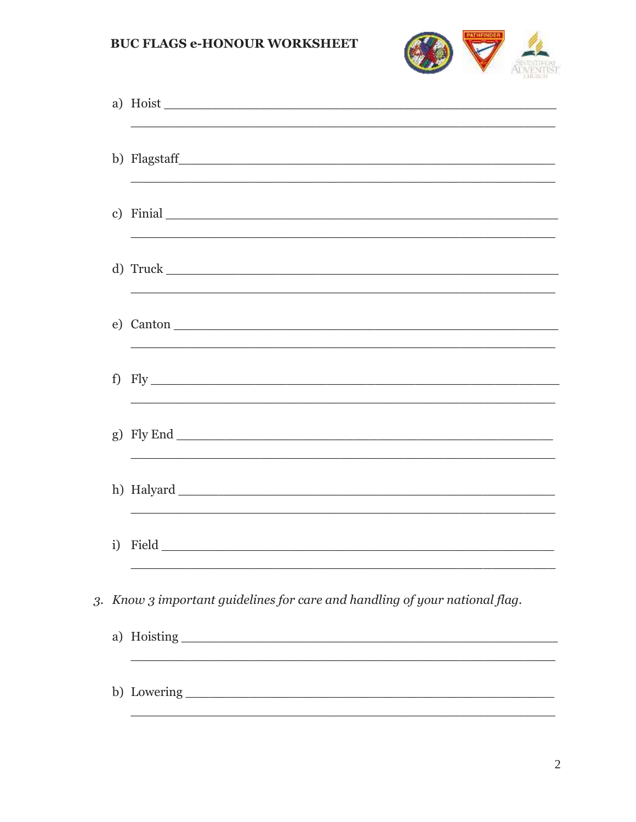

|    | a) Hoist                                                                    |
|----|-----------------------------------------------------------------------------|
|    |                                                                             |
|    | c) Finial                                                                   |
|    |                                                                             |
|    |                                                                             |
| f) |                                                                             |
|    | g) Fly End $\_\_$                                                           |
|    |                                                                             |
| i) |                                                                             |
|    | 3. Know 3 important guidelines for care and handling of your national flag. |
|    | a) Hoisting                                                                 |
|    |                                                                             |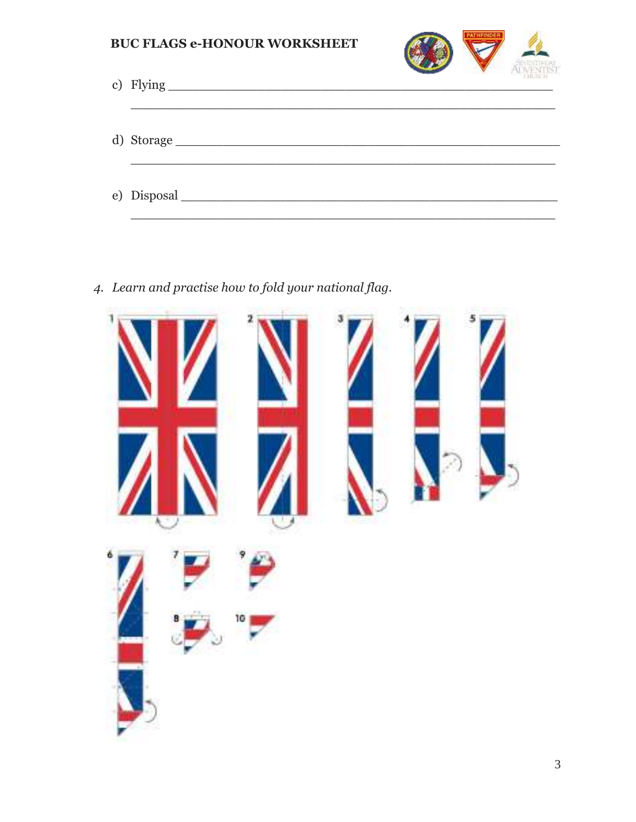

| c) Flying  | CHLIQUE. |
|------------|----------|
| d) Storage |          |
|            |          |

4. Learn and practise how to fold your national flag.

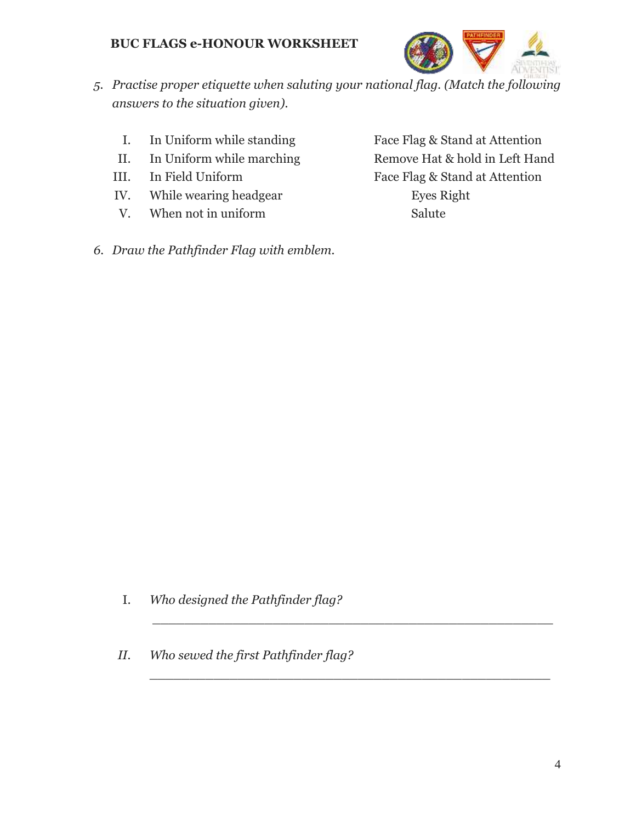

- *5. Practise proper etiquette when saluting your national flag. (Match the following answers to the situation given).*
	- I. In Uniform while standing Face Flag & Stand at Attention
	-
	-
	- IV. While wearing headgear Eyes Right
	- V. When not in uniform Salute

II. In Uniform while marching Remove Hat & hold in Left Hand III. In Field Uniform Face Flag & Stand at Attention

*6. Draw the Pathfinder Flag with emblem.*

I. *Who designed the Pathfinder flag?*

\_\_\_\_\_\_\_\_\_\_\_\_\_\_\_\_\_\_\_\_\_\_\_\_\_\_\_\_\_\_\_\_\_\_\_\_\_\_\_\_\_\_\_\_\_\_\_\_\_\_

\_\_\_\_\_\_\_\_\_\_\_\_\_\_\_\_\_\_\_\_\_\_\_\_\_\_\_\_\_\_\_\_\_\_\_\_\_\_\_\_\_\_\_\_\_\_\_\_\_\_

*II. Who sewed the first Pathfinder flag?*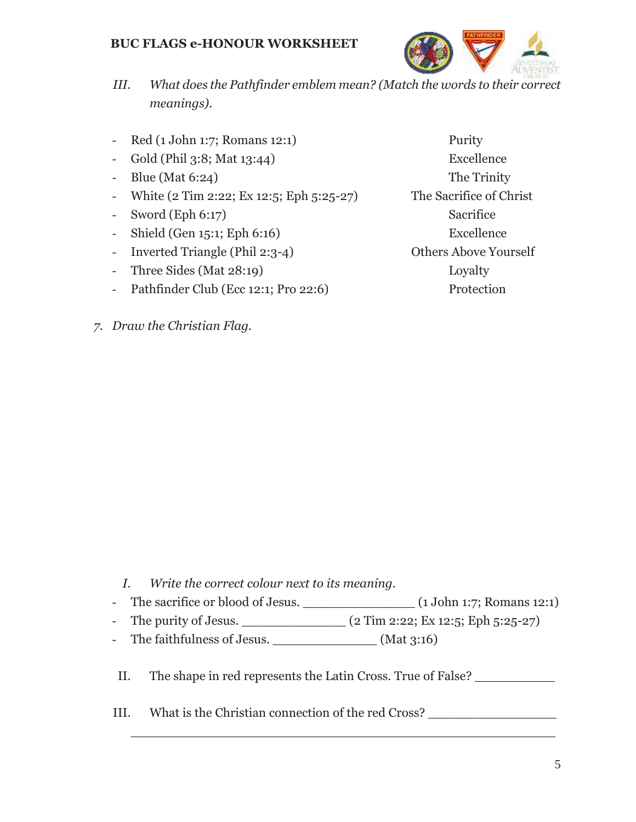

- *III. What does the Pathfinder emblem mean? (Match the words to their correct meanings).*
- Red (1 John 1:7; Romans 12:1) Purity
- Gold (Phil 3:8; Mat 13:44) Excellence
- Blue (Mat 6:24) The Trinity
- White  $(2 \text{ Tim } 2:22; \text{Ex } 12:5; \text{Eph } 5:25-27)$  The Sacrifice of Christ
- Sword (Eph 6:17) Sacrifice
- Shield (Gen 15:1; Eph 6:16) Excellence
- Inverted Triangle (Phil 2:3-4) Others Above Yourself
- Three Sides (Mat 28:19) Loyalty
- Pathfinder Club (Ecc 12:1; Pro 22:6) Protection
- *7. Draw the Christian Flag.*

- *I. Write the correct colour next to its meaning.*
- The sacrifice or blood of Jesus. \_\_\_\_\_\_\_\_\_\_\_\_\_\_ (1 John 1:7; Romans 12:1)
- The purity of Jesus. \_\_\_\_\_\_\_\_\_\_\_\_\_ (2 Tim 2:22; Ex 12:5; Eph 5:25-27)
- The faithfulness of Jesus. \_\_\_\_\_\_\_\_\_\_\_\_\_\_\_\_\_\_\_(Mat 3:16)
- II. The shape in red represents the Latin Cross. True of False?

\_\_\_\_\_\_\_\_\_\_\_\_\_\_\_\_\_\_\_\_\_\_\_\_\_\_\_\_\_\_\_\_\_\_\_\_\_\_\_\_\_\_\_\_\_\_\_\_\_\_\_\_\_

III. What is the Christian connection of the red Cross?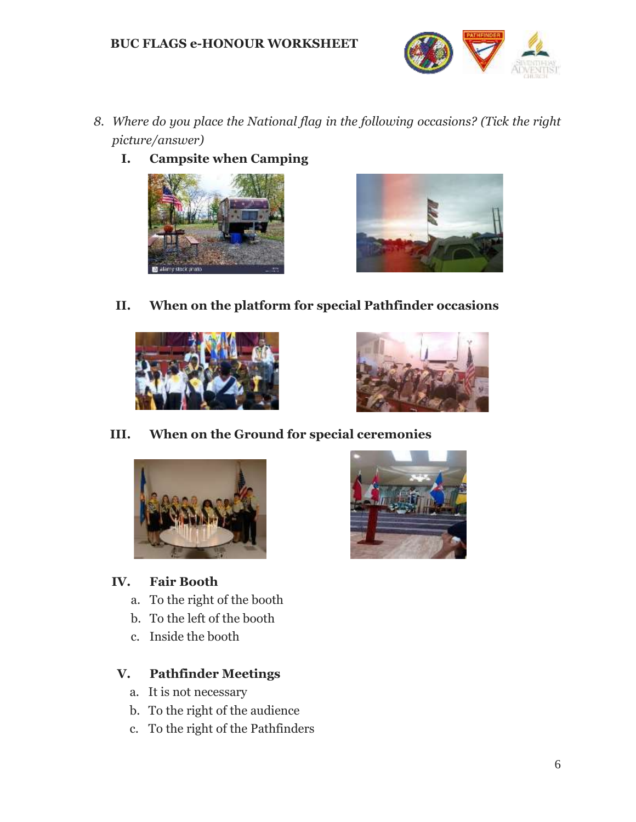

- *8. Where do you place the National flag in the following occasions? (Tick the right picture/answer)*
	- **I. Campsite when Camping**





**II. When on the platform for special Pathfinder occasions**





## **III. When on the Ground for special ceremonies**



## **IV. Fair Booth**

- a. To the right of the booth
- b. To the left of the booth
- c. Inside the booth

## **V. Pathfinder Meetings**

- a. It is not necessary
- b. To the right of the audience
- c. To the right of the Pathfinders

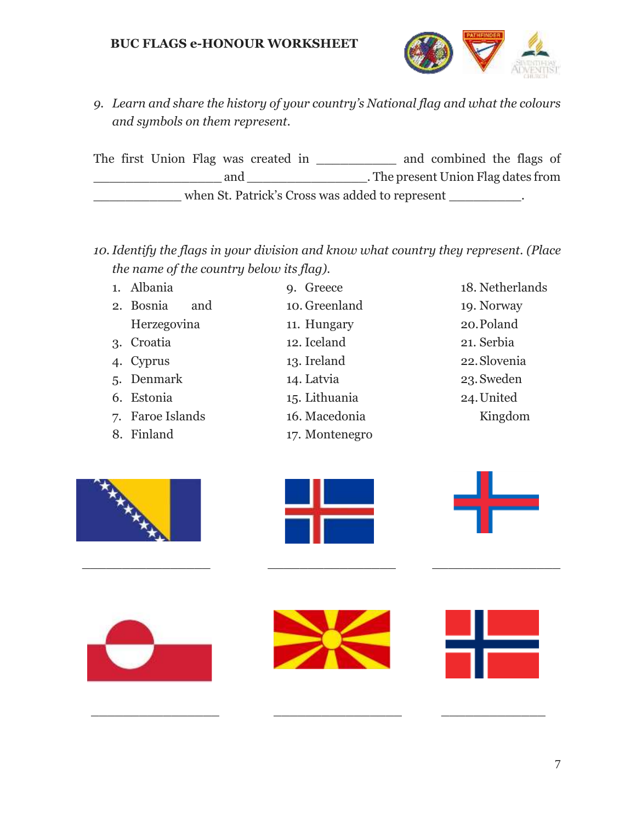

*9. Learn and share the history of your country's National flag and what the colours and symbols on them represent.*

The first Union Flag was created in \_\_\_\_\_\_\_\_\_\_ and combined the flags of and \_\_\_\_\_\_\_\_\_\_\_\_\_\_\_\_\_\_\_\_\_. The present Union Flag dates from when St. Patrick's Cross was added to represent  $\cdot$ 

- *10.Identify the flags in your division and know what country they represent. (Place the name of the country below its flag).*
	- 1. Albania
	- 2. Bosnia and Herzegovina
	- 3. Croatia
	- 4. Cyprus
	- 5. Denmark
	- 6. Estonia
	- 7. Faroe Islands
	- 8. Finland
- 9. Greece 10. Greenland 11. Hungary 12. Iceland
- 13. Ireland
- 14. Latvia
- 15. Lithuania
- 16. Macedonia
- 17. Montenegro

# 18. Netherlands 19. Norway 20.Poland 21. Serbia 22.Slovenia 23.Sweden 24.United

Kingdom





\_\_\_\_\_\_\_\_\_\_\_\_\_\_\_\_ \_\_\_\_\_\_\_\_\_\_\_\_\_\_\_\_ \_\_\_\_\_\_\_\_\_\_\_\_\_\_\_\_







 $\frac{1}{2}$  ,  $\frac{1}{2}$  ,  $\frac{1}{2}$  ,  $\frac{1}{2}$  ,  $\frac{1}{2}$  ,  $\frac{1}{2}$  ,  $\frac{1}{2}$  ,  $\frac{1}{2}$  ,  $\frac{1}{2}$  ,  $\frac{1}{2}$  ,  $\frac{1}{2}$  ,  $\frac{1}{2}$  ,  $\frac{1}{2}$  ,  $\frac{1}{2}$  ,  $\frac{1}{2}$  ,  $\frac{1}{2}$  ,  $\frac{1}{2}$  ,  $\frac{1}{2}$  ,  $\frac{1$ 

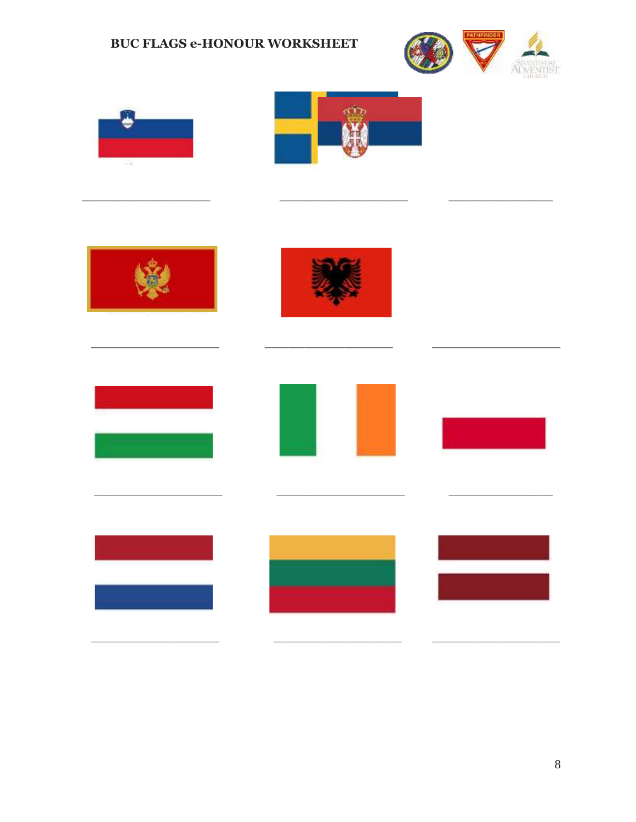